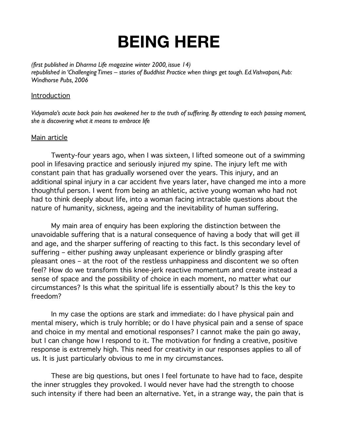## **BEING HERE**

*(first published in Dharma Life magazine winter 2000, issue 14) republished in 'Challenging Times – stories of Buddhist Practice when things get tough. Ed. Vishvapani, Pub: Windhorse Pubs, 2006*

## Introduction

*Vidyamala's acute back pain has awakened her to the truth of suffering. By attending to each passing moment, she is discovering what it means to embrace life*

## Main article

Twenty-four years ago, when I was sixteen, I lifted someone out of a swimming pool in lifesaving practice and seriously injured my spine. The injury left me with constant pain that has gradually worsened over the years. This injury, and an additional spinal injury in a car accident five years later, have changed me into a more thoughtful person. I went from being an athletic, active young woman who had not had to think deeply about life, into a woman facing intractable questions about the nature of humanity, sickness, ageing and the inevitability of human suffering.

My main area of enquiry has been exploring the distinction between the unavoidable suffering that is a natural consequence of having a body that will get ill and age, and the sharper suffering of reacting to this fact. Is this secondary level of suffering – either pushing away unpleasant experience or blindly grasping after pleasant ones – at the root of the restless unhappiness and discontent we so often feel? How do we transform this knee-jerk reactive momentum and create instead a sense of space and the possibility of choice in each moment, no matter what our circumstances? Is this what the spiritual life is essentially about? Is this the key to freedom?

In my case the options are stark and immediate: do I have physical pain and mental misery, which is truly horrible; or do I have physical pain and a sense of space and choice in my mental and emotional responses? I cannot make the pain go away, but I can change how I respond to it. The motivation for finding a creative, positive response is extremely high. This need for creativity in our responses applies to all of us. It is just particularly obvious to me in my circumstances.

These are big questions, but ones I feel fortunate to have had to face, despite the inner struggles they provoked. I would never have had the strength to choose such intensity if there had been an alternative. Yet, in a strange way, the pain that is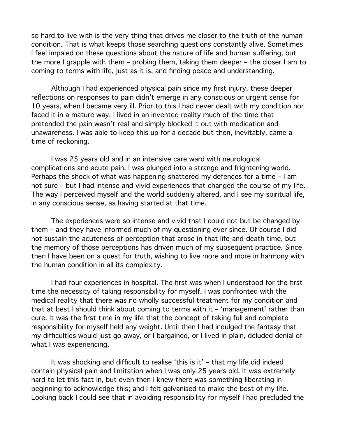so hard to live with is the very thing that drives me closer to the truth of the human condition. That is what keeps those searching questions constantly alive. Sometimes I feel impaled on these questions about the nature of life and human suffering, but the more I grapple with them – probing them, taking them deeper – the closer I am to coming to terms with life, just as it is, and finding peace and understanding.

Although I had experienced physical pain since my first injury, these deeper reflections on responses to pain didn't emerge in any conscious or urgent sense for 10 years, when I became very ill. Prior to this I had never dealt with my condition nor faced it in a mature way. I lived in an invented reality much of the time that pretended the pain wasn't real and simply blocked it out with medication and unawareness. I was able to keep this up for a decade but then, inevitably, came a time of reckoning.

I was 25 years old and in an intensive care ward with neurological complications and acute pain. I was plunged into a strange and frightening world. Perhaps the shock of what was happening shattered my defences for a time – I am not sure – but I had intense and vivid experiences that changed the course of my life. The way I perceived myself and the world suddenly altered, and I see my spiritual life, in any conscious sense, as having started at that time.

The experiences were so intense and vivid that I could not but be changed by them – and they have informed much of my questioning ever since. Of course I did not sustain the acuteness of perception that arose in that life-and-death time, but the memory of those perceptions has driven much of my subsequent practice. Since then I have been on a quest for truth, wishing to live more and more in harmony with the human condition in all its complexity.

I had four experiences in hospital. The first was when I understood for the first time the necessity of taking responsibility for myself. I was confronted with the medical reality that there was no wholly successful treatment for my condition and that at best I should think about coming to terms with it – 'management' rather than cure. It was the first time in my life that the concept of taking full and complete responsibility for myself held any weight. Until then I had indulged the fantasy that my difficulties would just go away, or I bargained, or I lived in plain, deluded denial of what I was experiencing.

It was shocking and difficult to realise 'this is it' – that my life did indeed contain physical pain and limitation when I was only 25 years old. It was extremely hard to let this fact in, but even then I knew there was something liberating in beginning to acknowledge this; and I felt galvanised to make the best of my life. Looking back I could see that in avoiding responsibility for myself I had precluded the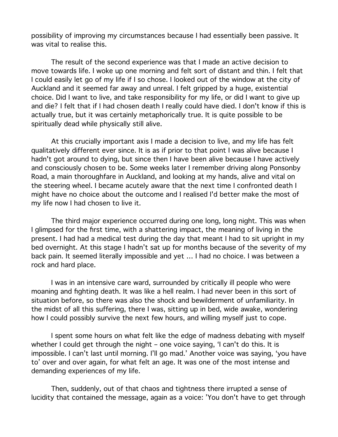possibility of improving my circumstances because I had essentially been passive. It was vital to realise this.

The result of the second experience was that I made an active decision to move towards life. I woke up one morning and felt sort of distant and thin. I felt that I could easily let go of my life if I so chose. I looked out of the window at the city of Auckland and it seemed far away and unreal. I felt gripped by a huge, existential choice. Did I want to live, and take responsibility for my life, or did I want to give up and die? I felt that if I had chosen death I really could have died. I don't know if this is actually true, but it was certainly metaphorically true. It is quite possible to be spiritually dead while physically still alive.

At this crucially important axis I made a decision to live, and my life has felt qualitatively different ever since. It is as if prior to that point I was alive because I hadn't got around to dying, but since then I have been alive because I have actively and consciously chosen to be. Some weeks later I remember driving along Ponsonby Road, a main thoroughfare in Auckland, and looking at my hands, alive and vital on the steering wheel. I became acutely aware that the next time I confronted death I might have no choice about the outcome and I realised I'd better make the most of my life now I had chosen to live it.

The third major experience occurred during one long, long night. This was when I glimpsed for the first time, with a shattering impact, the meaning of living in the present. I had had a medical test during the day that meant I had to sit upright in my bed overnight. At this stage I hadn't sat up for months because of the severity of my back pain. It seemed literally impossible and yet … I had no choice. I was between a rock and hard place.

I was in an intensive care ward, surrounded by critically ill people who were moaning and fighting death. It was like a hell realm. I had never been in this sort of situation before, so there was also the shock and bewilderment of unfamiliarity. In the midst of all this suffering, there I was, sitting up in bed, wide awake, wondering how I could possibly survive the next few hours, and willing myself just to cope.

I spent some hours on what felt like the edge of madness debating with myself whether I could get through the night – one voice saying, 'I can't do this. It is impossible. I can't last until morning. I'll go mad.' Another voice was saying, 'you have to' over and over again, for what felt an age. It was one of the most intense and demanding experiences of my life.

Then, suddenly, out of that chaos and tightness there irrupted a sense of lucidity that contained the message, again as a voice: 'You don't have to get through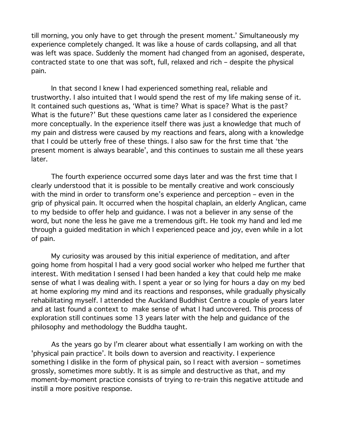till morning, you only have to get through the present moment.' Simultaneously my experience completely changed. It was like a house of cards collapsing, and all that was left was space. Suddenly the moment had changed from an agonised, desperate, contracted state to one that was soft, full, relaxed and rich – despite the physical pain.

In that second I knew I had experienced something real, reliable and trustworthy. I also intuited that I would spend the rest of my life making sense of it. It contained such questions as, 'What is time? What is space? What is the past? What is the future?' But these questions came later as I considered the experience more conceptually. In the experience itself there was just a knowledge that much of my pain and distress were caused by my reactions and fears, along with a knowledge that I could be utterly free of these things. I also saw for the first time that 'the present moment is always bearable', and this continues to sustain me all these years later.

The fourth experience occurred some days later and was the first time that I clearly understood that it is possible to be mentally creative and work consciously with the mind in order to transform one's experience and perception – even in the grip of physical pain. It occurred when the hospital chaplain, an elderly Anglican, came to my bedside to offer help and guidance. I was not a believer in any sense of the word, but none the less he gave me a tremendous gift. He took my hand and led me through a guided meditation in which I experienced peace and joy, even while in a lot of pain.

My curiosity was aroused by this initial experience of meditation, and after going home from hospital I had a very good social worker who helped me further that interest. With meditation I sensed I had been handed a key that could help me make sense of what I was dealing with. I spent a year or so lying for hours a day on my bed at home exploring my mind and its reactions and responses, while gradually physically rehabilitating myself. I attended the Auckland Buddhist Centre a couple of years later and at last found a context to make sense of what I had uncovered. This process of exploration still continues some 13 years later with the help and guidance of the philosophy and methodology the Buddha taught.

As the years go by I'm clearer about what essentially I am working on with the 'physical pain practice'. It boils down to aversion and reactivity. I experience something I dislike in the form of physical pain, so I react with aversion – sometimes grossly, sometimes more subtly. It is as simple and destructive as that, and my moment-by-moment practice consists of trying to re-train this negative attitude and instill a more positive response.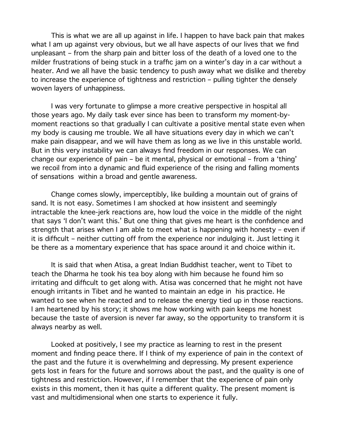This is what we are all up against in life. I happen to have back pain that makes what I am up against very obvious, but we all have aspects of our lives that we find unpleasant – from the sharp pain and bitter loss of the death of a loved one to the milder frustrations of being stuck in a traffic jam on a winter's day in a car without a heater. And we all have the basic tendency to push away what we dislike and thereby to increase the experience of tightness and restriction – pulling tighter the densely woven layers of unhappiness.

I was very fortunate to glimpse a more creative perspective in hospital all those years ago. My daily task ever since has been to transform my moment-bymoment reactions so that gradually I can cultivate a positive mental state even when my body is causing me trouble. We all have situations every day in which we can't make pain disappear, and we will have them as long as we live in this unstable world. But in this very instability we can always find freedom in our responses. We can change our experience of pain – be it mental, physical or emotional – from a 'thing' we recoil from into a dynamic and fluid experience of the rising and falling moments of sensations within a broad and gentle awareness.

Change comes slowly, imperceptibly, like building a mountain out of grains of sand. It is not easy. Sometimes I am shocked at how insistent and seemingly intractable the knee-jerk reactions are, how loud the voice in the middle of the night that says 'I don't want this.' But one thing that gives me heart is the confidence and strength that arises when I am able to meet what is happening with honesty – even if it is difficult – neither cutting off from the experience nor indulging it. Just letting it be there as a momentary experience that has space around it and choice within it.

It is said that when Atisa, a great Indian Buddhist teacher, went to Tibet to teach the Dharma he took his tea boy along with him because he found him so irritating and difficult to get along with. Atisa was concerned that he might not have enough irritants in Tibet and he wanted to maintain an edge in his practice. He wanted to see when he reacted and to release the energy tied up in those reactions. I am heartened by his story; it shows me how working with pain keeps me honest because the taste of aversion is never far away, so the opportunity to transform it is always nearby as well.

Looked at positively, I see my practice as learning to rest in the present moment and finding peace there. If I think of my experience of pain in the context of the past and the future it is overwhelming and depressing. My present experience gets lost in fears for the future and sorrows about the past, and the quality is one of tightness and restriction. However, if I remember that the experience of pain only exists in this moment, then it has quite a different quality. The present moment is vast and multidimensional when one starts to experience it fully.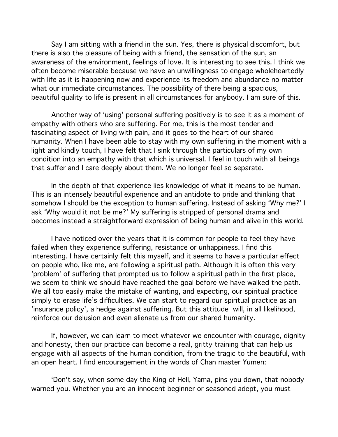Say I am sitting with a friend in the sun. Yes, there is physical discomfort, but there is also the pleasure of being with a friend, the sensation of the sun, an awareness of the environment, feelings of love. It is interesting to see this. I think we often become miserable because we have an unwillingness to engage wholeheartedly with life as it is happening now and experience its freedom and abundance no matter what our immediate circumstances. The possibility of there being a spacious, beautiful quality to life is present in all circumstances for anybody. I am sure of this.

Another way of 'using' personal suffering positively is to see it as a moment of empathy with others who are suffering. For me, this is the most tender and fascinating aspect of living with pain, and it goes to the heart of our shared humanity. When I have been able to stay with my own suffering in the moment with a light and kindly touch, I have felt that I sink through the particulars of my own condition into an empathy with that which is universal. I feel in touch with all beings that suffer and I care deeply about them. We no longer feel so separate.

In the depth of that experience lies knowledge of what it means to be human. This is an intensely beautiful experience and an antidote to pride and thinking that somehow I should be the exception to human suffering. Instead of asking 'Why me?' I ask 'Why would it not be me?' My suffering is stripped of personal drama and becomes instead a straightforward expression of being human and alive in this world.

I have noticed over the years that it is common for people to feel they have failed when they experience suffering, resistance or unhappiness. I find this interesting. I have certainly felt this myself, and it seems to have a particular effect on people who, like me, are following a spiritual path. Although it is often this very 'problem' of suffering that prompted us to follow a spiritual path in the first place, we seem to think we should have reached the goal before we have walked the path. We all too easily make the mistake of wanting, and expecting, our spiritual practice simply to erase life's difficulties. We can start to regard our spiritual practice as an 'insurance policy', a hedge against suffering. But this attitude will, in all likelihood, reinforce our delusion and even alienate us from our shared humanity.

If, however, we can learn to meet whatever we encounter with courage, dignity and honesty, then our practice can become a real, gritty training that can help us engage with all aspects of the human condition, from the tragic to the beautiful, with an open heart. I find encouragement in the words of Chan master Yumen:

'Don't say, when some day the King of Hell, Yama, pins you down, that nobody warned you. Whether you are an innocent beginner or seasoned adept, you must